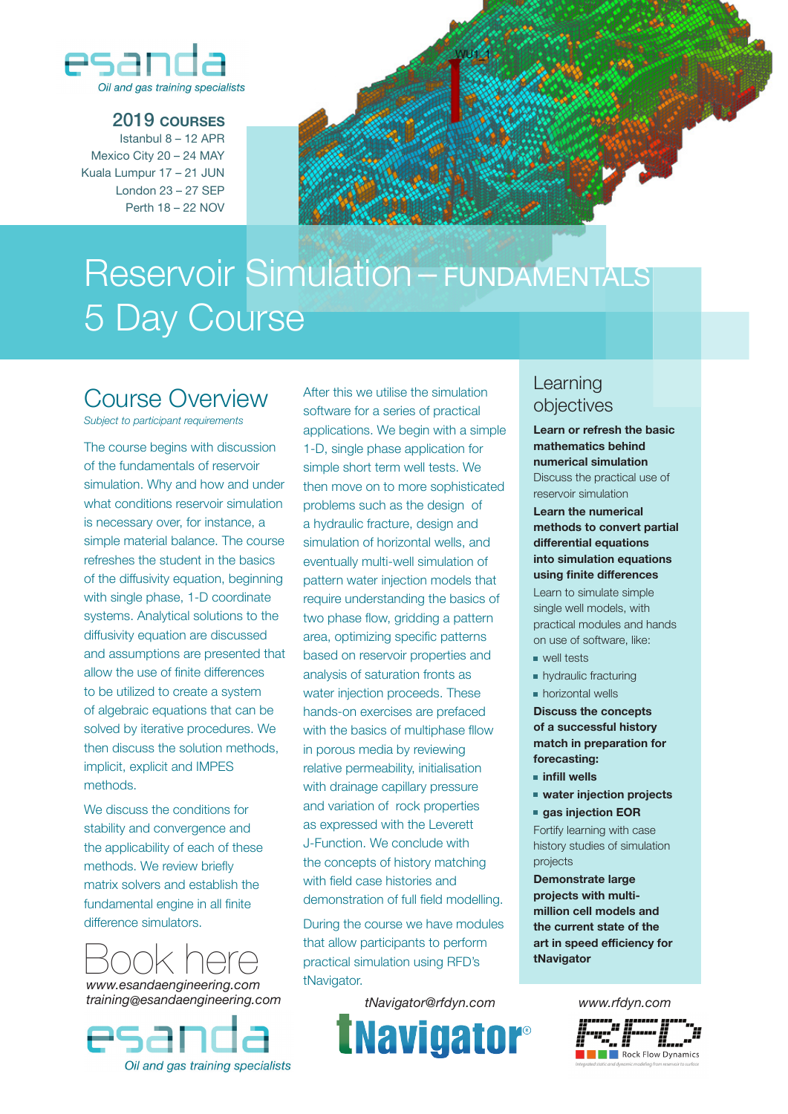

## 2019 **courses**

Istanbul 8 – 12 APR Mexico City 20 – 24 MAY Kuala Lumpur 17 – 21 JUN London 23 – 27 SEP Perth 18 – 22 NOV



# Reservoir Simulation – FUNDAMENTALS 5 Day Course

# Course Overview

*Subject to participant requirements*

The course begins with discussion of the fundamentals of reservoir simulation. Why and how and under what conditions reservoir simulation is necessary over, for instance, a simple material balance. The course refreshes the student in the basics of the diffusivity equation, beginning with single phase, 1-D coordinate systems. Analytical solutions to the diffusivity equation are discussed and assumptions are presented that allow the use of finite differences to be utilized to create a system of algebraic equations that can be solved by iterative procedures. We then discuss the solution methods, implicit, explicit and IMPES methods.

We discuss the conditions for stability and convergence and the applicability of each of these methods. We review briefly matrix solvers and establish the fundamental engine in all finite difference simulators.

*www.esandaengineering.com training@esandaengineering.com*



After this we utilise the simulation software for a series of practical applications. We begin with a simple 1-D, single phase application for simple short term well tests. We then move on to more sophisticated problems such as the design of a hydraulic fracture, design and simulation of horizontal wells, and eventually multi-well simulation of pattern water injection models that require understanding the basics of two phase flow, gridding a pattern area, optimizing specific patterns based on reservoir properties and analysis of saturation fronts as water injection proceeds. These hands-on exercises are prefaced with the basics of multiphase fllow in porous media by reviewing relative permeability, initialisation with drainage capillary pressure and variation of rock properties as expressed with the Leverett J-Function. We conclude with the concepts of history matching with field case histories and demonstration of full field modelling.

During the course we have modules that allow participants to perform practical simulation using RFD's tNavigator.

*tNavigator@rfdyn.com www.rfdyn.com*



## Learning objectives

**Learn or refresh the basic mathematics behind numerical simulation** Discuss the practical use of reservoir simulation

### **Learn the numerical methods to convert partial differential equations into simulation equations using finite differences**

Learn to simulate simple single well models, with practical modules and hands on use of software, like:

- well tests
- **hydraulic fracturing**
- **horizontal wells**

**Discuss the concepts of a successful history match in preparation for forecasting:**

- **infill wells**
- **water injection projects**
- **gas injection EOR**

Fortify learning with case history studies of simulation projects

**Demonstrate large projects with multimillion cell models and the current state of the art in speed efficiency for tNavigator**